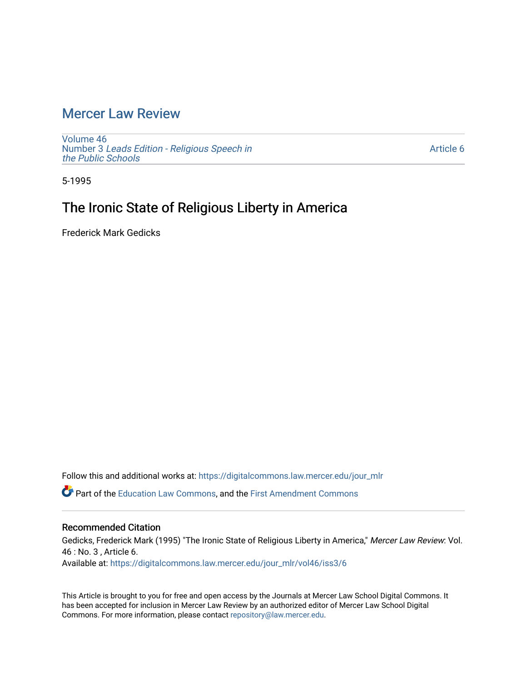### [Mercer Law Review](https://digitalcommons.law.mercer.edu/jour_mlr)

[Volume 46](https://digitalcommons.law.mercer.edu/jour_mlr/vol46) Number 3 [Leads Edition - Religious Speech in](https://digitalcommons.law.mercer.edu/jour_mlr/vol46/iss3) [the Public Schools](https://digitalcommons.law.mercer.edu/jour_mlr/vol46/iss3)

[Article 6](https://digitalcommons.law.mercer.edu/jour_mlr/vol46/iss3/6) 

5-1995

## The Ironic State of Religious Liberty in America

Frederick Mark Gedicks

Follow this and additional works at: [https://digitalcommons.law.mercer.edu/jour\\_mlr](https://digitalcommons.law.mercer.edu/jour_mlr?utm_source=digitalcommons.law.mercer.edu%2Fjour_mlr%2Fvol46%2Fiss3%2F6&utm_medium=PDF&utm_campaign=PDFCoverPages)

Part of the [Education Law Commons,](http://network.bepress.com/hgg/discipline/596?utm_source=digitalcommons.law.mercer.edu%2Fjour_mlr%2Fvol46%2Fiss3%2F6&utm_medium=PDF&utm_campaign=PDFCoverPages) and the [First Amendment Commons](http://network.bepress.com/hgg/discipline/1115?utm_source=digitalcommons.law.mercer.edu%2Fjour_mlr%2Fvol46%2Fiss3%2F6&utm_medium=PDF&utm_campaign=PDFCoverPages)

#### Recommended Citation

Gedicks, Frederick Mark (1995) "The Ironic State of Religious Liberty in America," Mercer Law Review: Vol. 46 : No. 3 , Article 6. Available at: [https://digitalcommons.law.mercer.edu/jour\\_mlr/vol46/iss3/6](https://digitalcommons.law.mercer.edu/jour_mlr/vol46/iss3/6?utm_source=digitalcommons.law.mercer.edu%2Fjour_mlr%2Fvol46%2Fiss3%2F6&utm_medium=PDF&utm_campaign=PDFCoverPages)

This Article is brought to you for free and open access by the Journals at Mercer Law School Digital Commons. It has been accepted for inclusion in Mercer Law Review by an authorized editor of Mercer Law School Digital Commons. For more information, please contact [repository@law.mercer.edu.](mailto:repository@law.mercer.edu)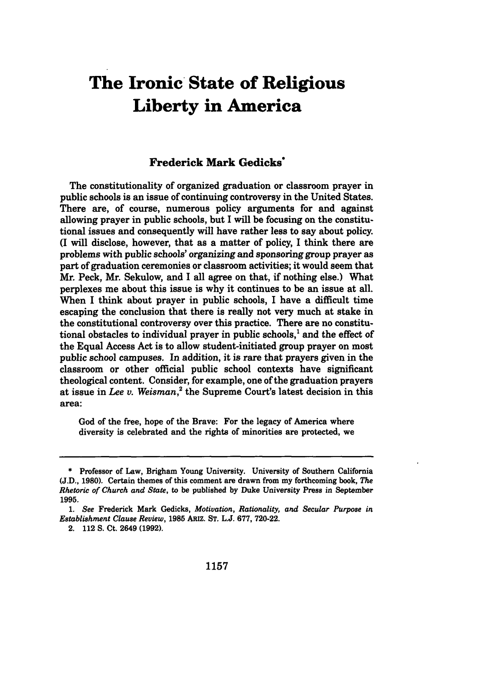# **The Ironic State of Religious Liberty in America**

#### **Frederick Mark Gedicks"**

The constitutionality of organized graduation or classroom prayer in public schools is an issue of continuing controversy in the United States. There are, of course, numerous policy arguments for and against allowing prayer in public schools, but I will be focusing on the constitutional issues and consequently will have rather less to say about policy. (I will disclose, however, that as a matter of policy, I think there are problems with public schools' organizing and sponsoring group prayer as part of graduation ceremonies or classroom activities; it would seem that Mr. Peck, Mr. Sekulow, and **I** all agree on that, if nothing else.) What perplexes me about this issue is why it continues to be an issue at all. When I think about prayer in public schools, I have a difficult time escaping the conclusion that there is really not very much at stake in the constitutional controversy over this practice. There are no constitutional obstacles to individual prayer in public schools,' and the effect of the Equal Access Act is to allow student-initiated group prayer on most public school campuses. In addition, it is rare that prayers given in the classroom or other official public school contexts have significant theological content. Consider, for example, one of the graduation prayers at issue in *Lee v. Weisman*,<sup>2</sup> the Supreme Court's latest decision in this area:

God of the free, hope of the Brave: For the legacy of America where diversity is celebrated and the rights of minorities are protected, we

**<sup>\*</sup>** Professor of Law, Brigham Young University. University of Southern California **(J.D., 1980).** Certain themes of this comment are drawn from my forthcoming book, *The Rhetoric of Church and State,* to be published **by** Duke University Press in September **1995.**

*<sup>1.</sup> See* Frederick Mark Gedicks, *Motivation, Rationality, and Secular Purpose in Establishment Clause Review,* **1985 ARIZ. ST. L.J. 677, 720-22.**

<sup>2. 112</sup> **S.** Ct. 2649 **(1992).**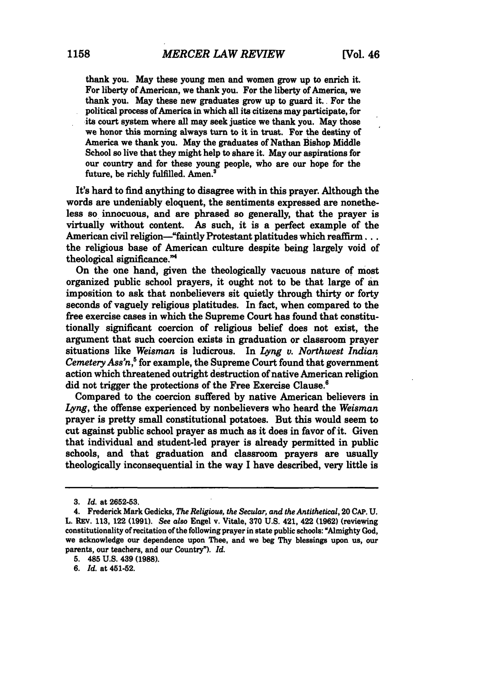**thank** you. May these young men and women grow up to enrich it. For liberty of American, we thank you. For the liberty of America, we thank you. May these new graduates grow up to guard it.. For the political process of America in which all its citizens may participate, for its court system where all may seek justice we thank you. May those we honor this morning always turn to it in trust. For the destiny of America we thank you. May the graduates of Nathan Bishop Middle School so live that they might help to share it. May our aspirations for our country and for these young people, who are our hope for the future, be richly fulfilled. Amen.'

**It's** hard to find anything to disagree with in this prayer. Although the words are undeniably eloquent, the sentiments expressed are nonetheless so innocuous, and are phrased so generally, that the prayer is virtually without content. As such, it is a perfect example of the American civil religion-"faintly Protestant platitudes which reaffirm... the religious base of American culture despite being largely void of theological significance."<sup>4</sup>

On the one hand, given the theologically vacuous nature of most organized public school prayers, it ought not to be that large of an imposition to ask that nonbelievers sit quietly through thirty or forty seconds of vaguely religious platitudes. In fact, when compared to the free exercise cases in which the Supreme Court has found that constitutionally significant coercion of religious belief does not exist, the argument that such coercion exists in graduation or classroom prayer situations like *Weisman* is ludicrous. In *Iyng v. Northwest Indian Cemetery Ass'n,'* for example, the Supreme Court found that government action which threatened outright destruction of native American religion did not trigger the protections of the Free Exercise Clause.<sup>6</sup>

Compared to the coercion suffered **by** native American believers in *Lyng,* the offense experienced **by** nonbelievers who heard the *Weisman* prayer is pretty small constitutional potatoes. But this would seem to cut against public school prayer as much as it does in favor of it. Given that individual and student-led prayer is already permitted in public schools, and that graduation and classroom prayers are usually theologically inconsequential in the way **I** have described, very little is

**<sup>3.</sup>** *Id.* at **2652-53.**

<sup>4.</sup> Frederick Mark Gedicks, *The Religious, the Secular, and the Antithetical,* 20 **CAP. U.** L. REv. **113,** 122 **(1991).** See also Engel v. Vitale, **370 U.S.** 421, 422 **(1962)** (reviewing constitutionality of recitation of the following prayer in state public schools: "Almighty God, we acknowledge our dependence upon Thee, and we beg **Thy** blessings upon us, our parents, our teachers, and our Country"). *Id.*

**<sup>5.</sup>** 485 **U.S.** 439 **(1988).**

**<sup>6.</sup>** *Id.* at 451-52.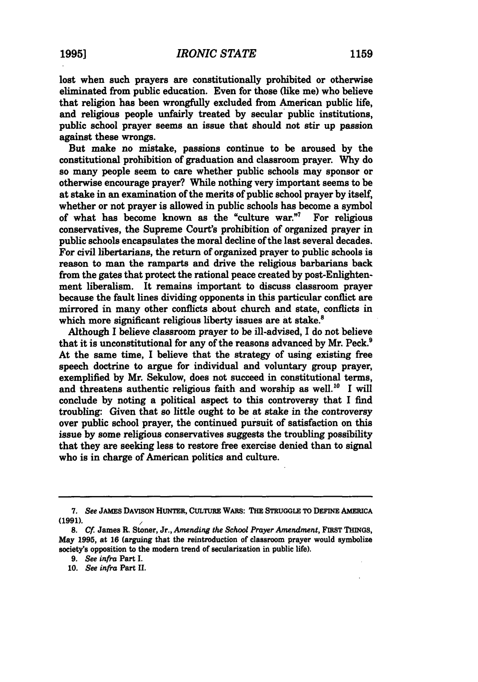lost when such prayers are constitutionally prohibited or otherwise eliminated from public education. Even for those (like me) who believe that religion has been wrongfully excluded from American public life, and religious people unfairly treated **by** secular public institutions, public school prayer seems an issue that should not stir up passion against these wrongs.

But make no mistake, passions continue to be aroused **by** the constitutional prohibition of graduation and classroom prayer. **Why** do so many people seem to care whether public schools may sponsor or otherwise encourage prayer? While nothing very important seems to be at stake in an examination of the merits of public school prayer **by** itself, whether or not prayer is allowed in public schools has become a symbol of what has become known as the "culture war." For religious conservatives, the Supreme Court's prohibition of organized prayer in public schools encapsulates the moral decline of the last several decades. For civil libertarians, the return of organized prayer to public schools is reason to man the ramparts and drive the religious barbarians back from the gates that protect the rational peace created **by** post-Enlightenment liberalism. It remains important to discuss classroom prayer because the fault lines dividing opponents in this particular conflict are mirrored in many other conflicts about church and state, conflicts in which more significant religious liberty issues are at stake.<sup>8</sup>

Although **I** believe classroom prayer to be ill-advised, I do not believe that it is unconstitutional for any of the reasons advanced **by** Mr. Peck.9 At the same time, **I** believe that the strategy of using existing free speech doctrine to argue for individual and voluntary group prayer, exemplified **by** Mr. Sekulow, does not succeed in constitutional terms, and threatens authentic religious faith and worship as well." **I** will conclude **by** noting a political aspect to this controversy that I find troubling: Given that so little ought to be at stake in the controversy over public school prayer, the continued pursuit of satisfaction on this issue **by** some religious conservatives suggests the troubling possibility that they are seeking less to restore free exercise denied than to signal who is in charge of American politics and culture.

**<sup>7.</sup>** *See* **JAMES** DAvISON HUNTER, **CULTURE** WARS: **THE** STRUGGLE TO **DEFINE AMERICA (1991).** <sup>1</sup>

**<sup>8.</sup>** *Cf* James R. Stoner, Jr., *Amending the School Prayer Amendment,* FIRST THINGS, May **1995,** at **16** (arguing that the reintroduction of classroom prayer would symbolize society's opposition to the modem trend of secularization in public life).

*<sup>9.</sup> See infra* Part **I.**

**<sup>10.</sup>** *See* infra Part **11.**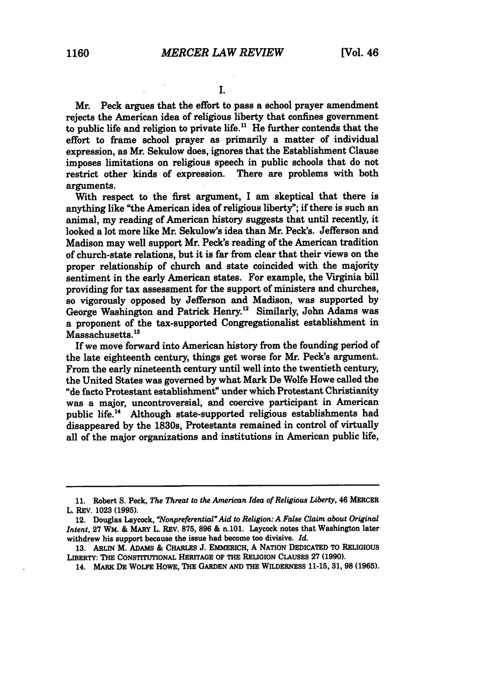Mr. Peck argues that the effort to pass a school prayer amendment rejects the American idea of religious liberty that confines government to public life and religion to private life.<sup>11</sup> He further contends that the effort to frame school prayer as primarily a matter of individual expression, as Mr. Sekulow does, ignores that the Establishment Clause imposes limitations on religious speech in public schools that do not restrict other kinds of expression. There are problems with both arguments.

With respect to the first argument, I am skeptical that there is anything like "the American idea of religious liberty"; if there is such an animal, my reading of American history suggests that until recently, it looked a lot more like Mr. Sekulow's idea than Mr. Peck's. Jefferson and Madison may well support Mr. Peck's reading of the American tradition of church-state relations, but it is far from clear that their views on the proper relationship of church and state coincided with the majority sentiment in the early American states. For example, the Virginia bill providing for tax assessment for the support of ministers and churches, so vigorously opposed **by** Jefferson and Madison, was supported **by** George Washington and Patrick Henry.<sup>12</sup> Similarly, John Adams was a proponent of the tax-supported Congregationalist establishment in Massachusetts.<sup>13</sup>

If we move forward into American history from the founding period of the late eighteenth century, things get worse for Mr. Peck's argument. From the early nineteenth century until well into the twentieth century, the United States was governed **by** what Mark De Wolfe Howe called the "de facto Protestant establishment" under which Protestant Christianity was a major, uncontroversial, and coercive participant in American public life.<sup>14</sup> Although state-supported religious establishments had disappeared **by** the 1830s, Protestants remained in control of virtually all of the major organizations and institutions in American public life,

**<sup>11.</sup>** Robert **S.** Peck, *The Threat to the American Idea of Religious Liberty,* 46 MERCER L. **REV. 1023 (1995).**

<sup>12.</sup> Douglas Laycock, *Nonpreferential'Aid to Religion: A False Claim about Original Intent,* **27** WM. **&** MARY L. REv. **875, 896 &** n.101. Laycock notes that Washington later withdrew his support because the issue had become too divisive. *Id.*

**<sup>13.</sup> ARLIN** M. **ADAMS &** CHARLES **J. EMMERICH, A NATION** DEDICATED TO RELIGIOUS LIBERTY: **THE** CONSTITUTIONAL HERITAGE OF THE RELIGION CLAuSES **27 (1990).**

<sup>14.</sup> MARK **DE** WOLFE HOWE, THE **GARDEN AND** THE WILDERNESS 11-15, 31, **98 (1965).**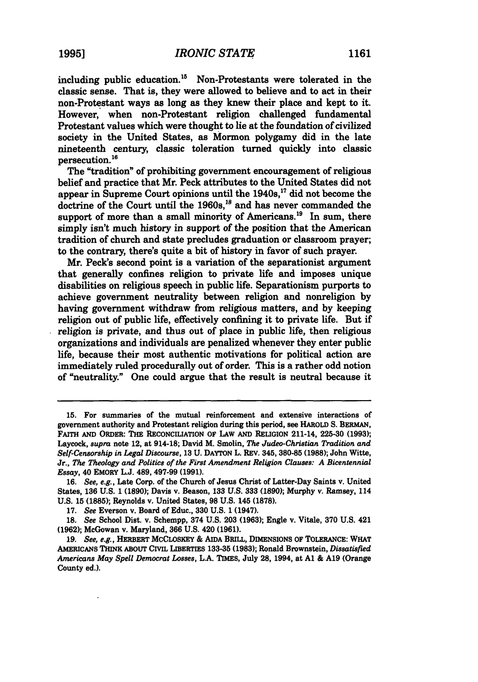including public education.<sup>15</sup> Non-Protestants were tolerated in the classic sense. That is, they were allowed to believe and to act in their non-Protestant ways as long as they knew their place and kept to it. However, when non-Protestant religion challenged fundamental Protestant values which were thought to **lie** at the foundation of civilized society in the United States, as Mormon polygamy did in the late nineteenth century, classic toleration turned quickly into classic persecution.<sup>16</sup>

The "tradition" of prohibiting government encouragement of religious belief and practice that Mr. Peck attributes to the United States did not appear in Supreme Court opinions until the  $1940s$ ,<sup>17</sup> did not become the doctrine of the Court until the 1960s,<sup>18</sup> and has never commanded the support of more than a small minority of Americans.<sup>19</sup> In sum, there simply isn't much history in support of the position that the American tradition of church and state precludes graduation or classroom prayer; to the contrary, there's quite a bit of history in favor of such prayer.

Mr. Peck's second point is a variation of the separationist argument that generally confines religion to private life and imposes unique disabilities on religious speech in public life. Separationism purports to achieve government neutrality between religion and nonreligion **by** having government withdraw from religious matters, and **by** keeping religion out of public life, effectively confining it to private life. But if religion is private, and thus out of place in public life, then religious organizations and individuals are penalized whenever they enter public life, because their most authentic motivations for political action are immediately ruled procedurally out of order. This is a rather odd notion of "neutrality." One could argue that the result is neutral because it

**<sup>15.</sup>** For summaries of the mutual reinforcement and extensive interactions of government authority and Protestant religion during this period, see **HAROLD S.** BERMAN, FAITH **AND** ORDER: THE RECONCILIATION OF LAW **AND** RELIGION 211-14, **225-30 (1993);** Laycock, *supra* note 12, at 914-18; David M. Smolin, *The Judeo-Christian Tradition and Self-Censorship in Legal Discourse,* **13** U. **DAYTON** L. REV. 345, **380-85 (1988);** John Witte, *Jr., The Theology and Politics of the First Amendment Religion Clauses: A Bicentennial Essay,* 40 EMORY **L.J.** 489, 497-99 **(1991).**

**<sup>16.</sup>** *See, e.g.,* Late Corp. of the Church of Jesus Christ of Latter-Day Saints v. United States, **136 U.S.** 1 **(1890);** Davis v. Beason, **133 U.S. 333 (1890);** Murphy v. Ramsey, 114 **U.S. 15 (1885);** Reynolds v. United States, **98 U.S.** 145 **(1878).**

**<sup>17.</sup>** *See* Everson v. Board of Educ., **330 U.S.** 1 (1947).

**<sup>18.</sup>** *See* School Dist. v. Schempp, 374 U.S. **203 (1963);** Engle v. Vitale, **370 U.S.** 421 **(1962);** McGowan v. Maryland, **366** U.S. 420 **(1961).**

**<sup>19.</sup>** *See, e.g.,* HERBERT MCCLOSKEY **& AIDA** BRILL, **DIMENSIONS** OF **TOLERANCE:** WHAT **AMERICANS THINK** ABOUT **CIVIL** LIBERTIES **133-35 (1983);** Ronald Brownstein, *Dissatisfied Americans May Spell Democrat Losses,* **L.A. TIMES,** July **28,** 1994, at **Al & A19** (Orange County ed.).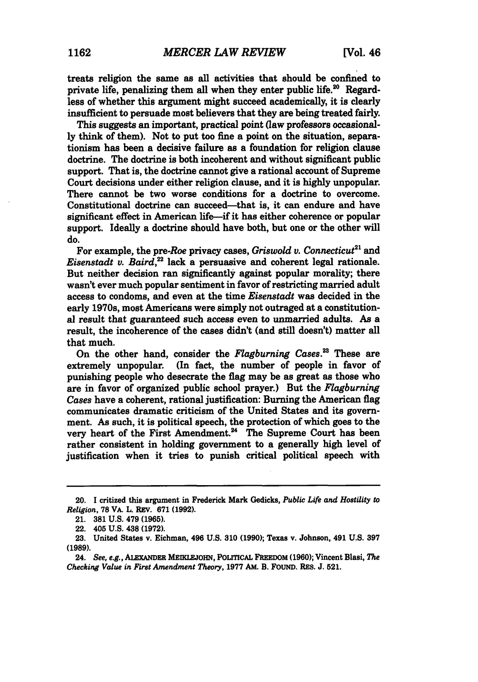treats religion the same as all activities that should be confined to private life, penalizing them all when they enter public life.<sup>20</sup> Regardless of whether this argument might succeed academically, it is clearly insufficient to persuade most believers that they are being treated fairly.

This suggests an important, practical point (law professors occasional**ly** think of them). Not to put too fine a point on the situation, separationism has been a decisive failure as a foundation for religion clause doctrine. The doctrine is both incoherent and without significant public support. That is, the doctrine cannot give a rational account of Supreme Court decisions under either religion clause, and it is **highly** unpopular. There cannot be two worse conditions for a doctrine to overcome. Constitutional doctrine can succeed-that is, it can endure and have significant effect in American life-if it has either coherence or popular support. Ideally a doctrine should have both, but one or the other will do.

For example, the pre-Roe privacy cases, *Griswold v. Connecticut*<sup>21</sup> and *Eisenstadt v. Baird,22* lack a persuasive and coherent legal rationale. But neither decision ran significantly against popular morality; there wasn't ever much popular sentiment in favor of restricting married adult access to condoms, and even at the time *Eisenstadt* was decided in the early 1970s, most Americans were simply not outraged at a constitutional result that guaranteed such access even to unmarried adults. As a result, the incoherence of the cases didn't (and still doesn't) matter all that much.

On the other hand, consider the *Flagburning Cases."* These are extremely unpopular. (In fact, the number of people in favor of punishing people who desecrate the flag may be as great as those who are in favor of organized public school prayer.) But the *Flagburning Cases* have a coherent, rational justification: Burning the American flag communicates dramatic criticism of the United States and its government. As such, it is political speech, the protection of which goes to the very heart of the First Amendment.<sup>24</sup> The Supreme Court has been rather consistent in holding government to a generally high level of justification when it tries to punish critical political speech with

<sup>20.</sup> **I** critized this argument in Frederick Mark Gedicks, *Public Life and Hostility to Religion,* **78** VA. L. **REV. 671 (1992).**

<sup>21.</sup> **381 U.S.** 479 **(1965).**

<sup>22. 405</sup> **U.S.** 438 **(1972).**

**<sup>23.</sup>** United States v. Eichman, 496 **U.S. 310 (1990);** Texas v. Johnson, 491 **U.S. 397 (1989).**

<sup>24.</sup> *See, e.g.,* ALmANDER *MEIKJOHN,* **POLICAL FREEDOM (1960);** Vincent Blasi, *The* Checking *Value in First Amendment Theory,* **1977** AM. B. FOUND. REs. **J. 521.**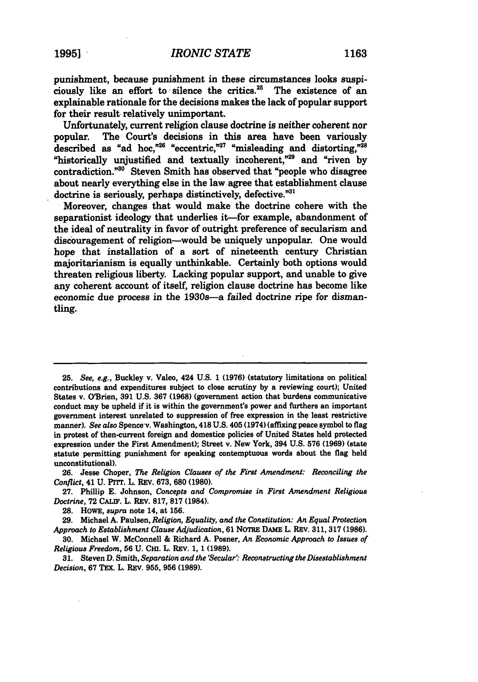punishment, because punishment in these circumstances looks suspiciously like an effort to silence the critics.<sup>25</sup> The existence of an explainable rationale for the decisions makes the lack of popular support for their result relatively unimportant.

Unfortunately, current religion clause doctrine is neither coherent nor popular. The Court's decisions in this area have been variously described as "ad hoc, $^{28}$ " "eccentric,"<sup>27</sup> "misleading and distorting,"<sup>28</sup> "historically unjustified and textually incoherent,"<sup>29</sup> and "riven by contradiction."<sup>30</sup> Steven Smith has observed that "people who disagree about nearly everything else in the law agree that establishment clause doctrine is seriously, perhaps distinctively, defective."<sup>31</sup>

Moreover, changes that would make the doctrine cohere with the separationist ideology that underlies it-for example, abandonment of the ideal of neutrality in favor of outright preference of secularism and discouragement of religion-would be uniquely unpopular. One would hope that installation of a sort of nineteenth century Christian majoritarianism is equally unthinkable. Certainly both options would threaten religious liberty. Lacking popular support, and unable to give any coherent account of itself, religion clause doctrine has become like economic due process in the 1930s-a failed doctrine ripe for dismantling.

**29.** Michael **A.** Paulsen, *Religion, Equality, and the Constitution: An Equal Protection Approach to Establishment Clause Adjudication,* **61** NOTRE **DAME L.** REV. **311,317 (1986).**

**<sup>25.</sup>** *See, e.g.,* Buckley v. Valeo, 424 **U.S. 1 (1976)** (statutory limitations on political contributions and expenditures subject to close scrutiny **by** a reviewing court); United States v. O'Brien, **391 U.S. 367 (1968)** (government action that burdens communicative conduct may be upheld if it is within the government's power and furthers an important government interest unrelated to suppression of free expression in the least restrictive manner). *See also* Spencev. Washington, 418 **U.S.** 405 (1974) (affixing peace symbol to flag in protest of then-current foreign and domestice policies of United States held protected expression under the First Amendment); Street v. New York, **394 U.S. 576 (1969)** (state statute permitting punishment for speaking contemptuous words about the flag held unconstitutional).

**<sup>26.</sup>** Jesse Choper, *The Religion Clauses of the First Amendment: Reconciling the Conflict,* 41 **U. PITr.** L. REv. **673, 680 (1980).**

**<sup>27.</sup>** Phillip **E.** Johnson, *Concepts and Compromise in First Amendment Religious Doctrine,* **72 CALIF.** L. REV. **817, 817** (1984).

**<sup>28.</sup> HOWE,** *supra* note 14, at **156.**

**<sup>30.</sup>** Michael W. McConnell **&** Richard **A.** Posner, An *Economic Approach to Issues of Religious Freedom,* **56 U. Cm.** L. **REv. 1, 1 (1989).**

**<sup>31.</sup>** Steven *D.* Smith, *Separation and the 'Secular': Reconstructing the Disestablishment Decision,* **67 TEx.** L. REV. **955, 956 (1989).**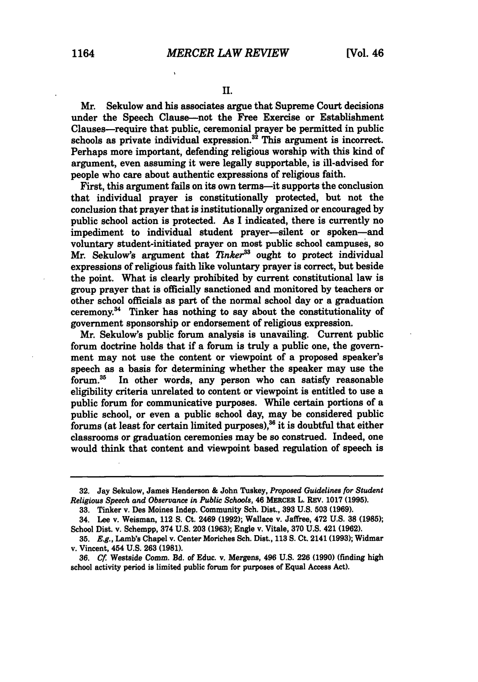Mr. Sekulow and his associates argue that Supreme Court decisions under the Speech Clause-not the Free Exercise or Establishment Clauses--require that public, ceremonial prayer be permitted in public schools as private individual expression. $32$  This argument is incorrect. Perhaps more important, defending religious worship with this kind of argument, even assuming it were legally supportable, is ill-advised for people who care about authentic expressions of religious faith.

First, this argument fails on its own terms—it supports the conclusion that individual prayer is constitutionally protected, but not the conclusion that prayer that is institutionally organized or encouraged **by** public school action is protected. As **I** indicated, there is currently no impediment to individual student prayer-silent or spoken-and voluntary student-initiated prayer on most public school campuses, **so** Mr. Sekulow's argument that *Tinker*<sup>33</sup> ought to protect individual expressions of religious faith like voluntary prayer is correct, but beside the point. What is clearly prohibited **by** current constitutional law is group prayer that is officially sanctioned and monitored **by** teachers or other school officials as part of the normal school day or a graduation ceremony.<sup>34</sup> Tinker has nothing to say about the constitutionality of government sponsorship or endorsement of religious expression.

Mr. Sekulow's public forum analysis is unavailing. Current public forum doctrine holds that if a forum is truly a public one, the government may not use the content or viewpoint of a proposed speaker's speech as a basis for determining whether the speaker may use the forum.<sup>35</sup> In other words, any person who can satisfy reasonable In other words, any person who can satisfy reasonable eligibility criteria unrelated to content or viewpoint is entitled to use a public forum for communicative purposes. While certain portions of a public school, or even a public school day, may be considered public forums (at least for certain limited purposes), $36$  it is doubtful that either classrooms or graduation ceremonies may be so construed. Indeed, one would think that content and viewpoint based regulation of speech is

**<sup>32.</sup>** Jay Sekulow, James Henderson **&** John Tuskey, *Proposed Guidelines for Student Religious Speech and Observance in Public Schools,* 46 **MERCER** L. REV. **1017 (1995).**

**<sup>33.</sup>** Tinker v. Des Moines Indep. Community Sch. Dist., **393 U.S. 503 (1969).**

<sup>34.</sup> Lee v. Weisman, 112 **S.** Ct. 2469 **(1992);** Wallace v. Jaffree, 472 **U.S. 38 (1985);** School Dist. v. Schempp, 374 U.S. **203 (1963);** Engle v. Vitale, **370 U.S.** 421 **(1962).**

**<sup>35.</sup>** *E.g.,* Lamb's Chapel v. Center Moriches Sch. Dist., **113 S.** Ct. 2141 **(1993);** Widmar v. Vincent, 454 **U.S. 263 (1981).**

*<sup>36.</sup> Cf* Westside Comm. Bd. of Educ. v. Mergens, 496 U.S. **226 (1990)** (finding high school activity period is limited public forum for purposes of Equal Access Act).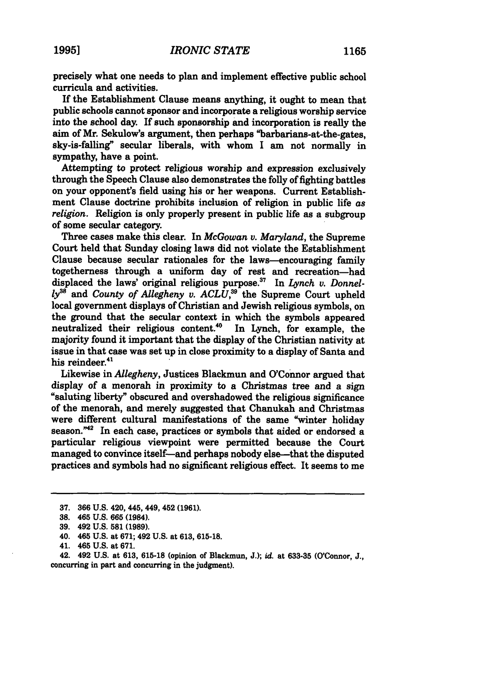precisely what one needs to plan and implement effective public school curricula and activities.

If the Establishment Clause means anything, it ought to mean that public schools cannot sponsor and incorporate a religious worship service into the school day. **If** such sponsorship and incorporation is really the aim of Mr. Sekulow's argument, then perhaps "barbarians-at-the-gates, sky-is-falling" secular liberals, with whom I am not normally in sympathy, have a point.

Attempting to protect religious worship and expression exclusively through the Speech Clause also demonstrates the folly of fighting battles on your opponent's field using his or her weapons. Current Establishment Clause doctrine prohibits inclusion of religion in public life as *religion.* Religion is only properly present in public life as a subgroup of some secular category.

Three cases make this clear. In *McGowan v. Maryland,* the Supreme Court held that Sunday closing laws did not violate the Establishment Clause because secular rationales for the laws-encouraging family togetherness through a uniform day of rest and recreation-had displaced the laws' original religious purpose.<sup>37</sup> In *Lynch v. Donnelly*<sup>38</sup> and *County of Allegheny v. ACLU*,<sup>39</sup> the Supreme Court upheld local government displays of Christian and Jewish religious symbols, on the ground that the secular context in which the symbols appeared neutralized their religious content.<sup>40</sup> In Lynch, for example, the majority found it important that the display of the Christian nativity at issue in that case was set up in close proximity to a display of Santa and his reindeer.<sup>41</sup>

Likewise in *Allegheny*, Justices Blackmun and O'Connor argued that display of a menorah in proximity to a Christmas tree and a sign "saluting liberty" obscured and overshadowed the religious significance of the menorah, and merely suggested that Chanukah and Christmas were different cultural manifestations of the same "winter holiday season.<sup>742</sup> In each case, practices or symbols that aided or endorsed a particular religious viewpoint were permitted because the Court managed to convince itself-and perhaps nobody else-that the disputed practices and symbols had no significant religious effect. It seems to me

**<sup>37. 366</sup> U.S.** 420, **445, 449,** 452 **(1961).**

**<sup>38.</sup>** 465 **U.S. 665** (1984).

**<sup>39.</sup>** 492 **U.S. 581 (1989).**

<sup>40. 465</sup> **U.S.** at **671;** 492 **U.S.** at **613, 615-18.**

<sup>41. 465</sup> **U.S.** at **671.**

<sup>42. 492</sup> **U.S.** at **613, 615-18** (opinion of Blackmun, **J.);** id. at **633-35** (O'Connor, **J.,** concurring in part and concurring in the judgment).